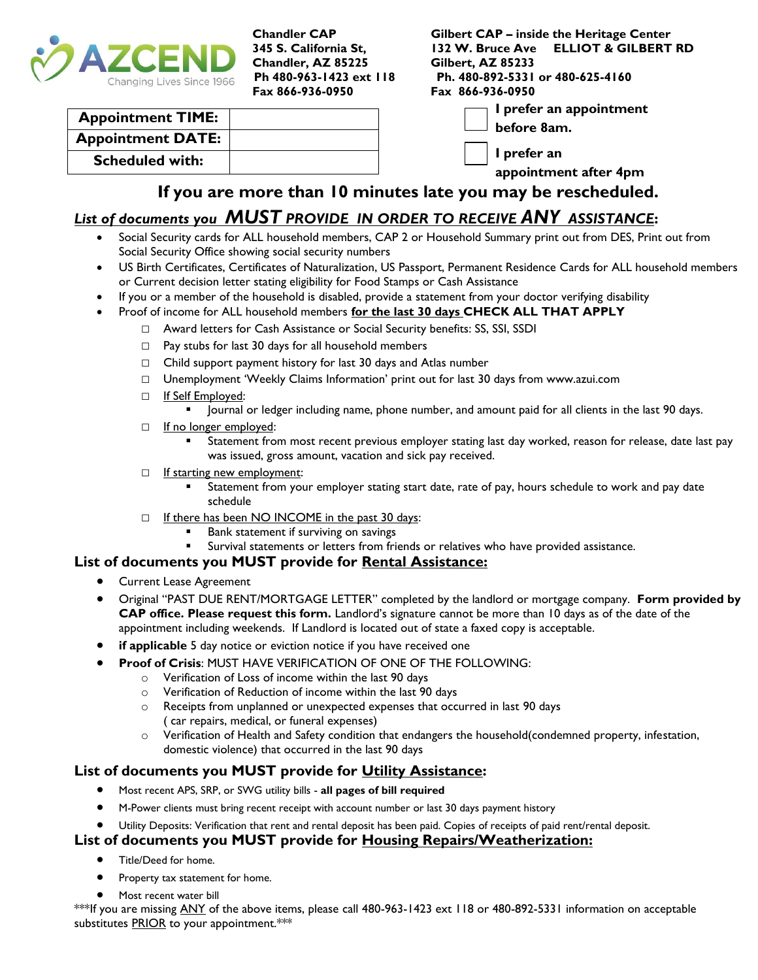

**Chandler, AZ 85225 Gilbert, AZ 85233 Fax 866-936-0950 Fax 866-936-0950**

**Chandler CAP Gilbert CAP – inside the Heritage Center 345 S. California St, 132 W. Bruce Ave ELLIOT & GILBERT RD Ph 480-963-1423 ext 118 Ph. 480-892-5331 or 480-625-4160**

| <b>Appointment TIME:</b> |  |
|--------------------------|--|
| <b>Appointment DATE:</b> |  |
| <b>Scheduled with:</b>   |  |

**I prefer an appointment** 

**before 8am.**

**I prefer an** 

**appointment after 4pm**

## **If you are more than 10 minutes late you may be rescheduled.**

## *List of documents you MUST PROVIDE IN ORDER TO RECEIVE ANY ASSISTANCE***:**

- Social Security cards for ALL household members, CAP 2 or Household Summary print out from DES, Print out from Social Security Office showing social security numbers
- US Birth Certificates, Certificates of Naturalization, US Passport, Permanent Residence Cards for ALL household members or Current decision letter stating eligibility for Food Stamps or Cash Assistance
- If you or a member of the household is disabled, provide a statement from your doctor verifying disability
- Proof of income for ALL household members **for the last 30 days CHECK ALL THAT APPLY**
	- □ Award letters for Cash Assistance or Social Security benefits: SS, SSI, SSDI
	- $\Box$  Pay stubs for last 30 days for all household members
	- $\Box$  Child support payment history for last 30 days and Atlas number
	- □ Unemployment 'Weekly Claims Information' print out for last 30 days from www.azui.com
	- □ If Self Employed:
		- Journal or ledger including name, phone number, and amount paid for all clients in the last 90 days.
	- □ If no longer employed:
		- Statement from most recent previous employer stating last day worked, reason for release, date last pay was issued, gross amount, vacation and sick pay received.
	- □ If starting new employment:
		- Statement from your employer stating start date, rate of pay, hours schedule to work and pay date schedule
	- □ If there has been NO INCOME in the past 30 days:
		- Bank statement if surviving on savings
		- Survival statements or letters from friends or relatives who have provided assistance.

#### **List of documents you MUST provide for Rental Assistance:**

- **•** Current Lease Agreement
- Original "PAST DUE RENT/MORTGAGE LETTER" completed by the landlord or mortgage company. **Form provided by CAP office. Please request this form.** Landlord's signature cannot be more than 10 days as of the date of the appointment including weekends. If Landlord is located out of state a faxed copy is acceptable.
- **if applicable** 5 day notice or eviction notice if you have received one
- **Proof of Crisis**: MUST HAVE VERIFICATION OF ONE OF THE FOLLOWING:
	- o Verification of Loss of income within the last 90 days
	- o Verification of Reduction of income within the last 90 days
	- o Receipts from unplanned or unexpected expenses that occurred in last 90 days ( car repairs, medical, or funeral expenses)
	- o Verification of Health and Safety condition that endangers the household(condemned property, infestation, domestic violence) that occurred in the last 90 days

#### **List of documents you MUST provide for Utility Assistance:**

- Most recent APS, SRP, or SWG utility bills **all pages of bill required**
- M-Power clients must bring recent receipt with account number or last 30 days payment history
- Utility Deposits: Verification that rent and rental deposit has been paid. Copies of receipts of paid rent/rental deposit.

#### **List of documents you MUST provide for Housing Repairs/Weatherization:**

- **•** Title/Deed for home.
- Property tax statement for home.
- Most recent water bill

\*\*\*If you are missing ANY of the above items, please call 480-963-1423 ext 118 or 480-892-5331 information on acceptable substitutes **PRIOR** to your appointment.\*\*\*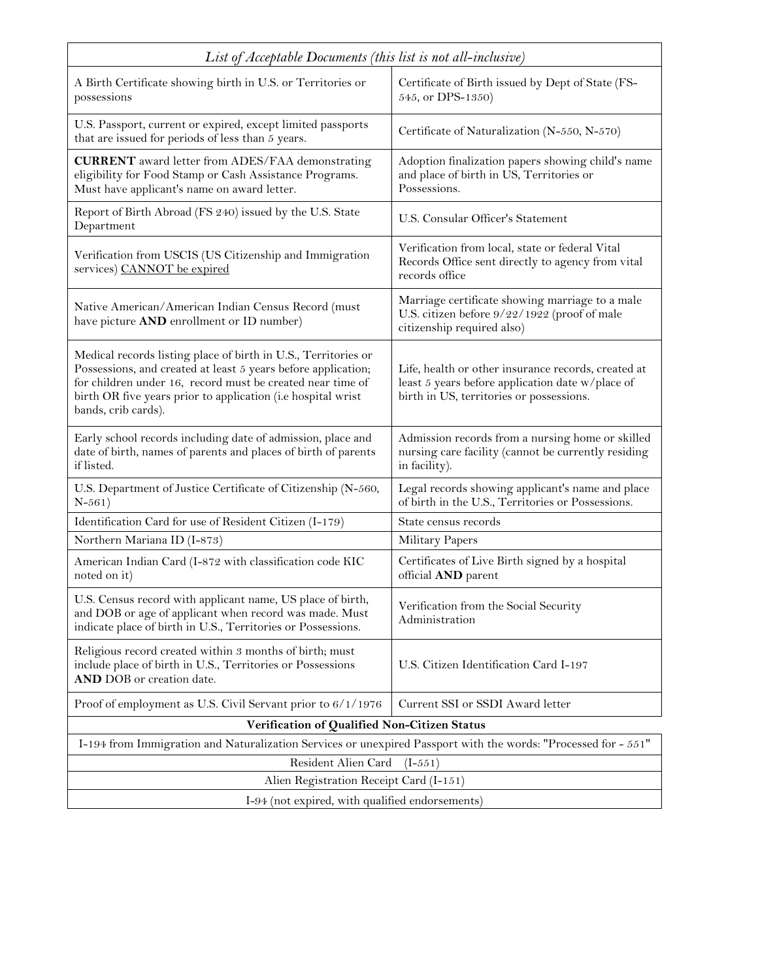| List of Acceptable Documents (this list is not all-inclusive)                                                                                                                                                                                                                        |                                                                                                                                                     |  |  |  |  |
|--------------------------------------------------------------------------------------------------------------------------------------------------------------------------------------------------------------------------------------------------------------------------------------|-----------------------------------------------------------------------------------------------------------------------------------------------------|--|--|--|--|
| A Birth Certificate showing birth in U.S. or Territories or<br>possessions                                                                                                                                                                                                           | Certificate of Birth issued by Dept of State (FS-<br>545, or DPS-1350)                                                                              |  |  |  |  |
| U.S. Passport, current or expired, except limited passports<br>that are issued for periods of less than 5 years.                                                                                                                                                                     | Certificate of Naturalization (N-550, N-570)                                                                                                        |  |  |  |  |
| <b>CURRENT</b> award letter from ADES/FAA demonstrating<br>eligibility for Food Stamp or Cash Assistance Programs.<br>Must have applicant's name on award letter.                                                                                                                    | Adoption finalization papers showing child's name<br>and place of birth in US, Territories or<br>Possessions.                                       |  |  |  |  |
| Report of Birth Abroad (FS 240) issued by the U.S. State<br>Department                                                                                                                                                                                                               | U.S. Consular Officer's Statement                                                                                                                   |  |  |  |  |
| Verification from USCIS (US Citizenship and Immigration<br>services) CANNOT be expired                                                                                                                                                                                               | Verification from local, state or federal Vital<br>Records Office sent directly to agency from vital<br>records office                              |  |  |  |  |
| Native American/American Indian Census Record (must<br>have picture AND enrollment or ID number)                                                                                                                                                                                     | Marriage certificate showing marriage to a male<br>U.S. citizen before 9/22/1922 (proof of male<br>citizenship required also)                       |  |  |  |  |
| Medical records listing place of birth in U.S., Territories or<br>Possessions, and created at least 5 years before application;<br>for children under 16, record must be created near time of<br>birth OR five years prior to application (i.e hospital wrist<br>bands, crib cards). | Life, health or other insurance records, created at<br>least 5 years before application date w/place of<br>birth in US, territories or possessions. |  |  |  |  |
| Early school records including date of admission, place and<br>date of birth, names of parents and places of birth of parents<br>if listed.                                                                                                                                          | Admission records from a nursing home or skilled<br>nursing care facility (cannot be currently residing<br>in facility).                            |  |  |  |  |
| U.S. Department of Justice Certificate of Citizenship (N-560,<br>$N - 561)$                                                                                                                                                                                                          | Legal records showing applicant's name and place<br>of birth in the U.S., Territories or Possessions.                                               |  |  |  |  |
| Identification Card for use of Resident Citizen (I-179)                                                                                                                                                                                                                              | State census records                                                                                                                                |  |  |  |  |
| Northern Mariana ID (I-873)                                                                                                                                                                                                                                                          | Military Papers                                                                                                                                     |  |  |  |  |
| American Indian Card (I-872 with classification code KIC<br>noted on it)                                                                                                                                                                                                             | Certificates of Live Birth signed by a hospital<br>official AND parent                                                                              |  |  |  |  |
| U.S. Census record with applicant name, US place of birth,<br>and DOB or age of applicant when record was made. Must<br>indicate place of birth in U.S., Territories or Possessions.                                                                                                 | Verification from the Social Security<br>Administration                                                                                             |  |  |  |  |
| Religious record created within 3 months of birth; must<br>include place of birth in U.S., Territories or Possessions<br>AND DOB or creation date.                                                                                                                                   | U.S. Citizen Identification Card I-197                                                                                                              |  |  |  |  |
| Proof of employment as U.S. Civil Servant prior to 6/1/1976                                                                                                                                                                                                                          | Current SSI or SSDI Award letter                                                                                                                    |  |  |  |  |
| Verification of Qualified Non-Citizen Status                                                                                                                                                                                                                                         |                                                                                                                                                     |  |  |  |  |
| I-194 from Immigration and Naturalization Services or unexpired Passport with the words: "Processed for - 551"                                                                                                                                                                       |                                                                                                                                                     |  |  |  |  |
| Resident Alien Card<br>$(I-551)$                                                                                                                                                                                                                                                     |                                                                                                                                                     |  |  |  |  |
| Alien Registration Receipt Card (I-151)                                                                                                                                                                                                                                              |                                                                                                                                                     |  |  |  |  |
| I-94 (not expired, with qualified endorsements)                                                                                                                                                                                                                                      |                                                                                                                                                     |  |  |  |  |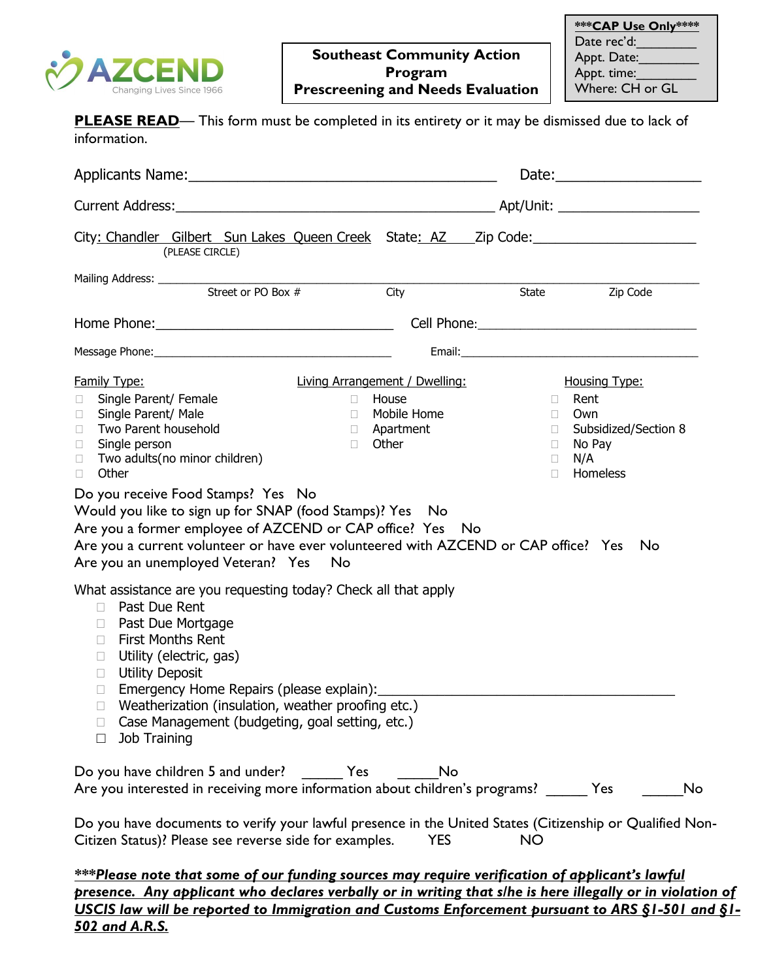

| <b>PLEASE READ</b> — This form must be completed in its entirety or it may be dismissed due to lack of<br>information.                                                                                                                                                                                                                                                                                                                                                                             |                                                                                                                         |                                                          |                                                                                          |
|----------------------------------------------------------------------------------------------------------------------------------------------------------------------------------------------------------------------------------------------------------------------------------------------------------------------------------------------------------------------------------------------------------------------------------------------------------------------------------------------------|-------------------------------------------------------------------------------------------------------------------------|----------------------------------------------------------|------------------------------------------------------------------------------------------|
|                                                                                                                                                                                                                                                                                                                                                                                                                                                                                                    |                                                                                                                         |                                                          | Date: <u>Date:</u>                                                                       |
|                                                                                                                                                                                                                                                                                                                                                                                                                                                                                                    |                                                                                                                         |                                                          |                                                                                          |
| City: Chandler Gilbert Sun Lakes Queen Creek State: AZ Zip Code:<br>(PLEASE CIRCLE)                                                                                                                                                                                                                                                                                                                                                                                                                |                                                                                                                         |                                                          |                                                                                          |
|                                                                                                                                                                                                                                                                                                                                                                                                                                                                                                    | City                                                                                                                    | <b>State</b>                                             | Zip Code                                                                                 |
|                                                                                                                                                                                                                                                                                                                                                                                                                                                                                                    |                                                                                                                         |                                                          |                                                                                          |
|                                                                                                                                                                                                                                                                                                                                                                                                                                                                                                    |                                                                                                                         |                                                          |                                                                                          |
| <b>Family Type:</b><br>Single Parent/ Female<br>0<br>Single Parent/ Male<br>$\Box$<br>Two Parent household<br>П.<br>Single person<br>0<br>Two adults(no minor children)<br>$\Box$<br>Other<br>П.<br>Do you receive Food Stamps? Yes No<br>Would you like to sign up for SNAP (food Stamps)? Yes No<br>Are you a former employee of AZCEND or CAP office? Yes No<br>Are you a current volunteer or have ever volunteered with AZCEND or CAP office? Yes No<br>Are you an unemployed Veteran? Yes No | <b>Living Arrangement / Dwelling:</b><br><b>D</b> House<br><b>I</b> Mobile Home<br><b>D</b> Apartment<br><b>D</b> Other | $\Box$<br>$\Box$<br>$\Box$<br>$\Box$<br>$\Box$<br>$\Box$ | <b>Housing Type:</b><br>Rent<br>Own<br>Subsidized/Section 8<br>No Pay<br>N/A<br>Homeless |
| What assistance are you requesting today? Check all that apply<br>Past Due Rent<br>П.<br>Past Due Mortgage<br>П.<br><b>First Months Rent</b><br>П.<br>Utility (electric, gas)<br>$\Box$<br><b>Utility Deposit</b><br>Emergency Home Repairs (please explain):<br>$\mathbf{L}$<br>Weatherization (insulation, weather proofing etc.)<br>$\Box$<br>Case Management (budgeting, goal setting, etc.)<br>$\mathbf{L}$<br>Job Training<br>$\Box$                                                         |                                                                                                                         |                                                          |                                                                                          |
| Do you have children 5 and under? ________ Yes<br>Are you interested in receiving more information about children's programs? Yes                                                                                                                                                                                                                                                                                                                                                                  | No                                                                                                                      |                                                          | No                                                                                       |
| Do you have documents to verify your lawful presence in the United States (Citizenship or Qualified Non-<br>Citizen Status)? Please see reverse side for examples.                                                                                                                                                                                                                                                                                                                                 | <b>YES</b>                                                                                                              | <b>NO</b>                                                |                                                                                          |

*\*\*\*Please note that some of our funding sources may require verification of applicant's lawful presence. Any applicant who declares verbally or in writing that s/he is here illegally or in violation of USCIS law will be reported to Immigration and Customs Enforcement pursuant to ARS §1-501 and §1- 502 and A.R.S.*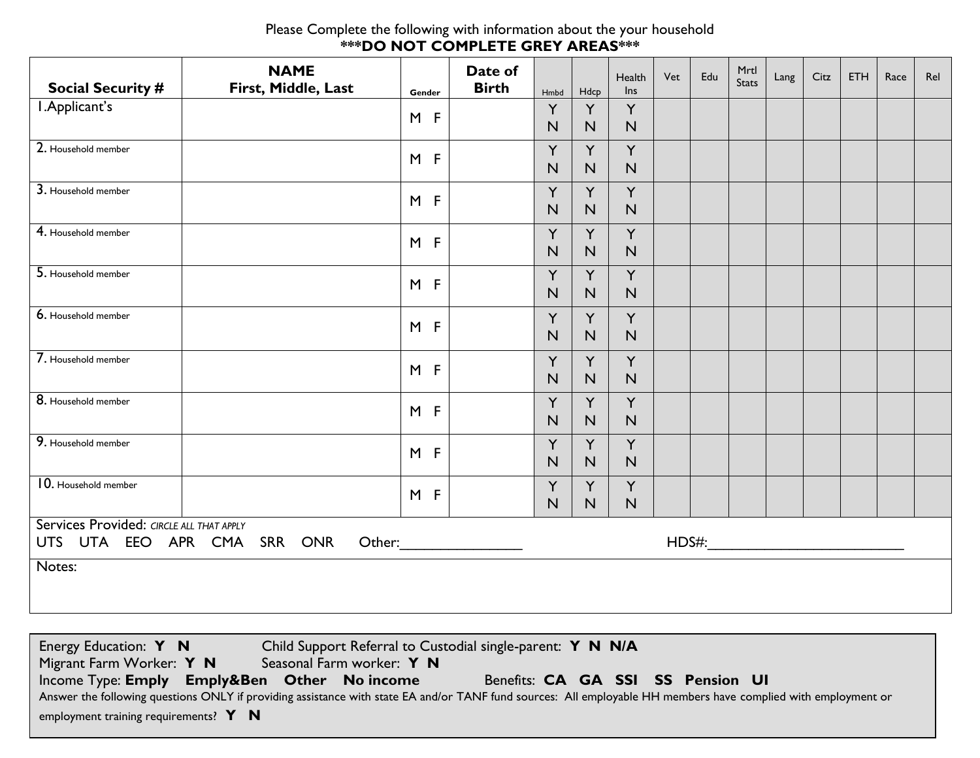#### Please Complete the following with information about the your household **\*\*\*DO NOT COMPLETE GREY AREAS\*\*\***

| <b>Social Security #</b>                                                | <b>NAME</b><br>First, Middle, Last | Gender | Date of<br><b>Birth</b> | Hmbd              | Hdcp              | Health<br>Ins     | Vet | Edu | Mrtl<br><b>Stats</b> | Lang | Citz | ETH | Race | Rel |
|-------------------------------------------------------------------------|------------------------------------|--------|-------------------------|-------------------|-------------------|-------------------|-----|-----|----------------------|------|------|-----|------|-----|
| I.Applicant's                                                           |                                    | $M$ F  |                         | Y<br>N            | Y<br>N            | Y<br>N            |     |     |                      |      |      |     |      |     |
| 2. Household member                                                     |                                    | M F    |                         | Y<br>$\mathsf{N}$ | Y<br>$\mathsf{N}$ | Y<br>N            |     |     |                      |      |      |     |      |     |
| 3. Household member                                                     |                                    | $M$ F  |                         | Y<br>N            | Y<br>N            | Y<br>N            |     |     |                      |      |      |     |      |     |
| 4. Household member                                                     |                                    | $M$ F  |                         | Y<br>$\mathsf{N}$ | Y<br>N            | Y<br>N            |     |     |                      |      |      |     |      |     |
| 5. Household member                                                     |                                    | $M$ F  |                         | Y<br>$\mathsf{N}$ | Y<br>N            | Y<br>N            |     |     |                      |      |      |     |      |     |
| 6. Household member                                                     |                                    | $M$ F  |                         | Y<br>N            | Y<br>N            | Y<br>$\mathsf{N}$ |     |     |                      |      |      |     |      |     |
| 7. Household member                                                     |                                    | $M$ F  |                         | Y<br>$\mathsf{N}$ | Y<br>$\mathsf{N}$ | Y<br>N            |     |     |                      |      |      |     |      |     |
| 8. Household member                                                     |                                    | $M$ F  |                         | Y<br>$\mathsf{N}$ | Y<br>N            | Y<br>N            |     |     |                      |      |      |     |      |     |
| 9. Household member                                                     |                                    | $M$ F  |                         | Y<br>$\mathsf{N}$ | Y<br>N            | Y<br>N            |     |     |                      |      |      |     |      |     |
| 10. Household member                                                    |                                    | $M$ F  |                         | Y<br>$\mathsf{N}$ | Y<br>N            | Y<br>${\sf N}$    |     |     |                      |      |      |     |      |     |
| Services Provided: CIRCLE ALL THAT APPLY<br>UTS UTA EEO APR CMA SRR ONR |                                    |        |                         |                   |                   |                   |     |     |                      |      |      |     |      |     |
| Notes:                                                                  |                                    |        |                         |                   |                   |                   |     |     |                      |      |      |     |      |     |

| Energy Education: Y N                        | Child Support Referral to Custodial single-parent: Y N N/A                                                                                                     |
|----------------------------------------------|----------------------------------------------------------------------------------------------------------------------------------------------------------------|
| Migrant Farm Worker: Y N                     | Seasonal Farm worker: Y N                                                                                                                                      |
| Income Type: Emply Emply&Ben Other No income | Benefits: CA GA SSI SS Pension UI                                                                                                                              |
|                                              | Answer the following questions ONLY if providing assistance with state EA and/or TANF fund sources: All employable HH members have complied with employment or |
| employment training requirements? $Y \t N$   |                                                                                                                                                                |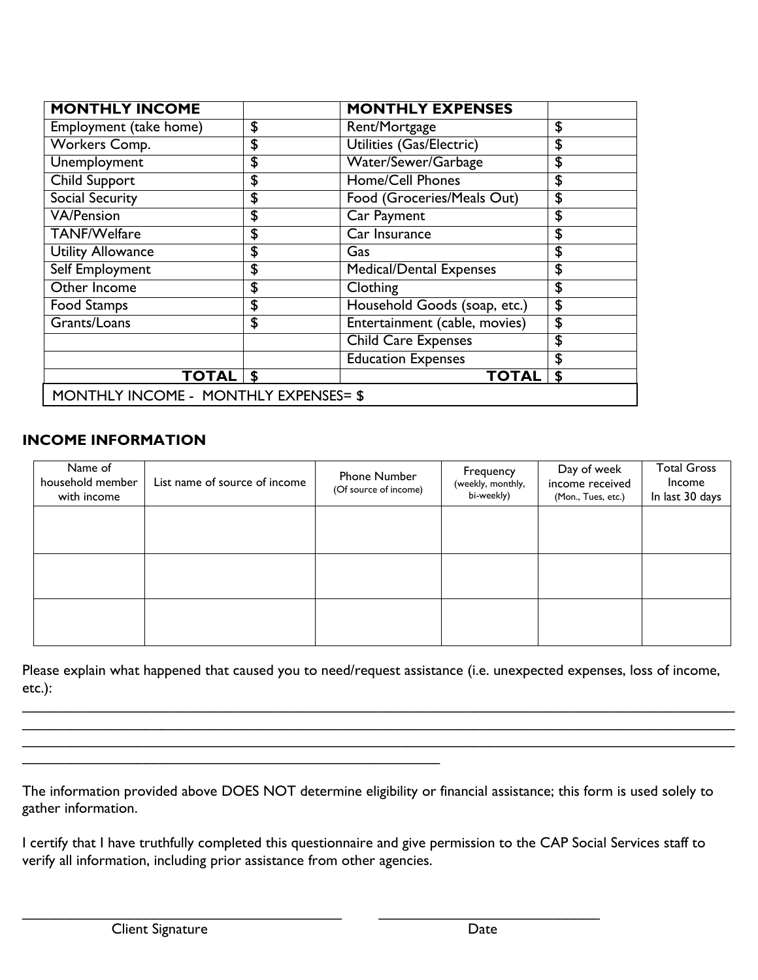| <b>MONTHLY INCOME</b>                 | <b>MONTHLY EXPENSES</b>              |    |
|---------------------------------------|--------------------------------------|----|
| Employment (take home)                | \$<br>Rent/Mortgage                  | \$ |
| Workers Comp.                         | \$<br>Utilities (Gas/Electric)       | \$ |
| <b>Unemployment</b>                   | \$<br>Water/Sewer/Garbage            | \$ |
| <b>Child Support</b>                  | \$<br><b>Home/Cell Phones</b>        | \$ |
| Social Security                       | \$<br>Food (Groceries/Meals Out)     | \$ |
| VA/Pension                            | \$<br>Car Payment                    | \$ |
| <b>TANF/Welfare</b>                   | \$<br>Car Insurance                  | \$ |
| <b>Utility Allowance</b>              | \$<br>Gas                            | \$ |
| <b>Self Employment</b>                | \$<br><b>Medical/Dental Expenses</b> | \$ |
| Other Income                          | \$<br>Clothing                       | \$ |
| Food Stamps                           | \$<br>Household Goods (soap, etc.)   | \$ |
| Grants/Loans                          | \$<br>Entertainment (cable, movies)  | \$ |
|                                       | <b>Child Care Expenses</b>           | \$ |
|                                       | <b>Education Expenses</b>            | \$ |
| <b>TOTAL S</b>                        | <b>TOTAL</b>                         | S  |
| MONTHLY INCOME - MONTHLY EXPENSES= \$ |                                      |    |

## **INCOME INFORMATION**

| Name of<br>household member<br>with income | List name of source of income | Phone Number<br>(Of source of income) | Frequency<br>(weekly, monthly,<br>bi-weekly) | Day of week<br>income received<br>(Mon., Tues, etc.) | <b>Total Gross</b><br>Income<br>In last 30 days |
|--------------------------------------------|-------------------------------|---------------------------------------|----------------------------------------------|------------------------------------------------------|-------------------------------------------------|
|                                            |                               |                                       |                                              |                                                      |                                                 |
|                                            |                               |                                       |                                              |                                                      |                                                 |
|                                            |                               |                                       |                                              |                                                      |                                                 |

Please explain what happened that caused you to need/request assistance (i.e. unexpected expenses, loss of income, etc.):

\_\_\_\_\_\_\_\_\_\_\_\_\_\_\_\_\_\_\_\_\_\_\_\_\_\_\_\_\_\_\_\_\_\_\_\_\_\_\_\_\_\_\_\_\_\_\_\_\_\_\_\_\_\_\_\_\_\_\_\_\_\_\_\_\_\_\_\_\_\_\_\_\_\_\_\_\_\_\_\_\_\_\_\_\_\_\_ \_\_\_\_\_\_\_\_\_\_\_\_\_\_\_\_\_\_\_\_\_\_\_\_\_\_\_\_\_\_\_\_\_\_\_\_\_\_\_\_\_\_\_\_\_\_\_\_\_\_\_\_\_\_\_\_\_\_\_\_\_\_\_\_\_\_\_\_\_\_\_\_\_\_\_\_\_\_\_\_\_\_\_\_\_\_\_ \_\_\_\_\_\_\_\_\_\_\_\_\_\_\_\_\_\_\_\_\_\_\_\_\_\_\_\_\_\_\_\_\_\_\_\_\_\_\_\_\_\_\_\_\_\_\_\_\_\_\_\_\_\_\_\_\_\_\_\_\_\_\_\_\_\_\_\_\_\_\_\_\_\_\_\_\_\_\_\_\_\_\_\_\_\_\_

The information provided above DOES NOT determine eligibility or financial assistance; this form is used solely to gather information.

I certify that I have truthfully completed this questionnaire and give permission to the CAP Social Services staff to verify all information, including prior assistance from other agencies.

 $\mathcal{L}_\mathcal{L} = \{ \mathcal{L}_\mathcal{L} = \{ \mathcal{L}_\mathcal{L} = \{ \mathcal{L}_\mathcal{L} = \{ \mathcal{L}_\mathcal{L} = \{ \mathcal{L}_\mathcal{L} = \{ \mathcal{L}_\mathcal{L} = \{ \mathcal{L}_\mathcal{L} = \{ \mathcal{L}_\mathcal{L} = \{ \mathcal{L}_\mathcal{L} = \{ \mathcal{L}_\mathcal{L} = \{ \mathcal{L}_\mathcal{L} = \{ \mathcal{L}_\mathcal{L} = \{ \mathcal{L}_\mathcal{L} = \{ \mathcal{L}_\mathcal{$ 

 $\mathcal{L}_\text{max}$  , and the contract of the contract of the contract of the contract of the contract of the contract of the contract of the contract of the contract of the contract of the contract of the contract of the contr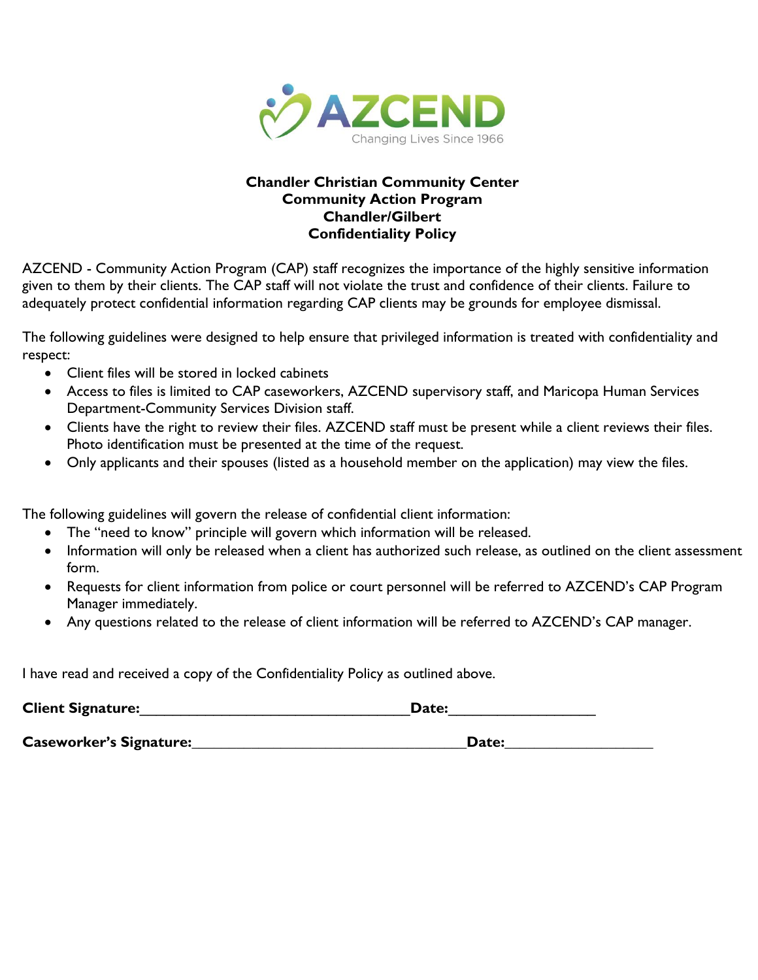

## **Chandler Christian Community Center Community Action Program Chandler/Gilbert Confidentiality Policy**

AZCEND - Community Action Program (CAP) staff recognizes the importance of the highly sensitive information given to them by their clients. The CAP staff will not violate the trust and confidence of their clients. Failure to adequately protect confidential information regarding CAP clients may be grounds for employee dismissal.

The following guidelines were designed to help ensure that privileged information is treated with confidentiality and respect:

- Client files will be stored in locked cabinets
- Access to files is limited to CAP caseworkers, AZCEND supervisory staff, and Maricopa Human Services Department-Community Services Division staff.
- Clients have the right to review their files. AZCEND staff must be present while a client reviews their files. Photo identification must be presented at the time of the request.
- Only applicants and their spouses (listed as a household member on the application) may view the files.

The following guidelines will govern the release of confidential client information:

- The "need to know" principle will govern which information will be released.
- Information will only be released when a client has authorized such release, as outlined on the client assessment form.
- Requests for client information from police or court personnel will be referred to AZCEND's CAP Program Manager immediately.
- Any questions related to the release of client information will be referred to AZCEND's CAP manager.

I have read and received a copy of the Confidentiality Policy as outlined above.

| <b>Client Signature:</b>       | Date: |
|--------------------------------|-------|
| <b>Caseworker's Signature:</b> | Date: |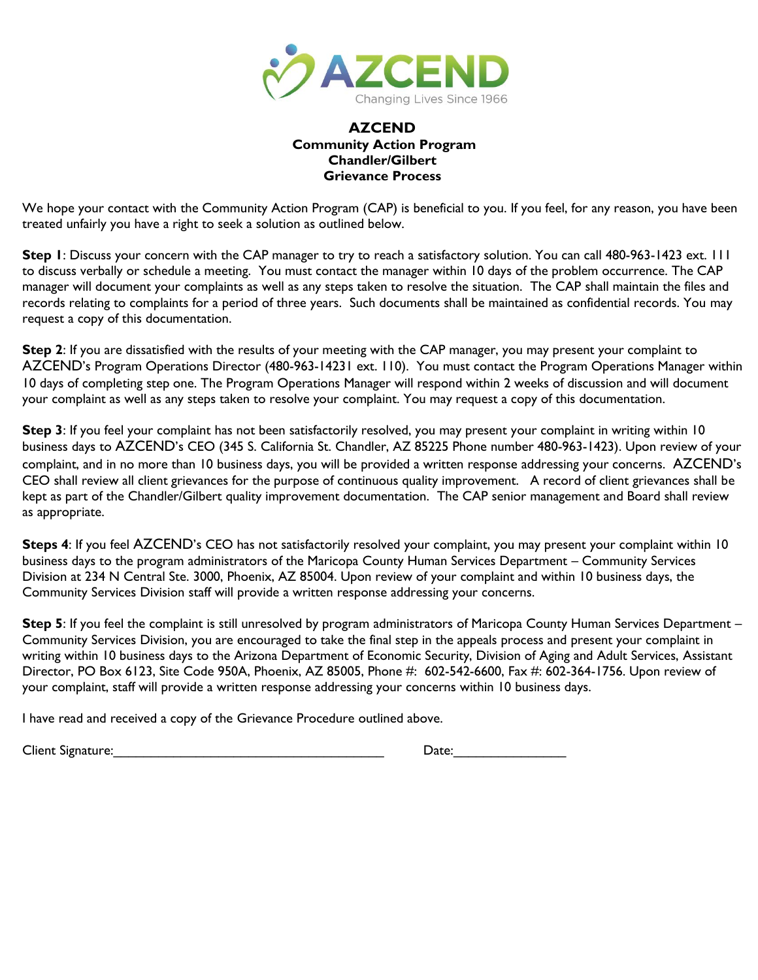

### **AZCEND Community Action Program Chandler/Gilbert Grievance Process**

We hope your contact with the Community Action Program (CAP) is beneficial to you. If you feel, for any reason, you have been treated unfairly you have a right to seek a solution as outlined below.

**Step 1**: Discuss your concern with the CAP manager to try to reach a satisfactory solution. You can call 480-963-1423 ext. 111 to discuss verbally or schedule a meeting. You must contact the manager within 10 days of the problem occurrence. The CAP manager will document your complaints as well as any steps taken to resolve the situation. The CAP shall maintain the files and records relating to complaints for a period of three years. Such documents shall be maintained as confidential records. You may request a copy of this documentation.

**Step 2**: If you are dissatisfied with the results of your meeting with the CAP manager, you may present your complaint to AZCEND's Program Operations Director (480-963-14231 ext. 110). You must contact the Program Operations Manager within 10 days of completing step one. The Program Operations Manager will respond within 2 weeks of discussion and will document your complaint as well as any steps taken to resolve your complaint. You may request a copy of this documentation.

**Step 3**: If you feel your complaint has not been satisfactorily resolved, you may present your complaint in writing within 10 business days to AZCEND's CEO (345 S. California St. Chandler, AZ 85225 Phone number 480-963-1423). Upon review of your complaint, and in no more than 10 business days, you will be provided a written response addressing your concerns. AZCEND's CEO shall review all client grievances for the purpose of continuous quality improvement. A record of client grievances shall be kept as part of the Chandler/Gilbert quality improvement documentation. The CAP senior management and Board shall review as appropriate.

Steps 4: If you feel AZCEND's CEO has not satisfactorily resolved your complaint, you may present your complaint within 10 business days to the program administrators of the Maricopa County Human Services Department – Community Services Division at 234 N Central Ste. 3000, Phoenix, AZ 85004. Upon review of your complaint and within 10 business days, the Community Services Division staff will provide a written response addressing your concerns.

**Step 5**: If you feel the complaint is still unresolved by program administrators of Maricopa County Human Services Department – Community Services Division, you are encouraged to take the final step in the appeals process and present your complaint in writing within 10 business days to the Arizona Department of Economic Security, Division of Aging and Adult Services, Assistant Director, PO Box 6123, Site Code 950A, Phoenix, AZ 85005, Phone #: 602-542-6600, Fax #: 602-364-1756. Upon review of your complaint, staff will provide a written response addressing your concerns within 10 business days.

I have read and received a copy of the Grievance Procedure outlined above.

Client Signature:

| Date: |  |  |
|-------|--|--|
|       |  |  |